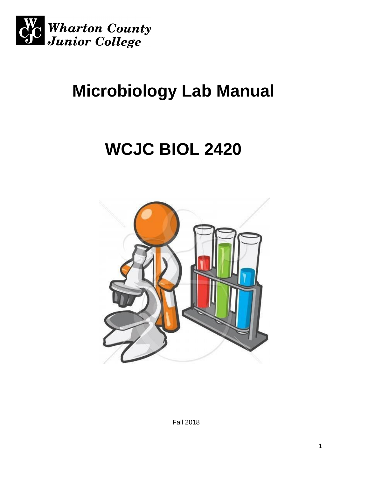

# **Microbiology Lab Manual**

# **WCJC BIOL 2420**



Fall 2018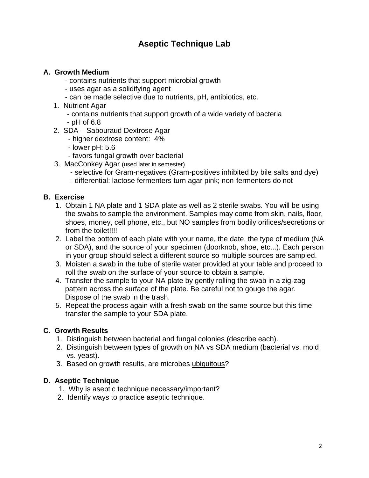### **Aseptic Technique Lab**

#### **A. Growth Medium**

- contains nutrients that support microbial growth
- uses agar as a solidifying agent
- can be made selective due to nutrients, pH, antibiotics, etc.
- 1. Nutrient Agar
	- contains nutrients that support growth of a wide variety of bacteria - pH of 6.8
- 2. SDA Sabouraud Dextrose Agar
	- higher dextrose content: 4%
	- lower pH: 5.6
	- favors fungal growth over bacterial
- 3. MacConkey Agar (used later in semester)
	- selective for Gram-negatives (Gram-positives inhibited by bile salts and dye)
	- differential: lactose fermenters turn agar pink; non-fermenters do not

#### **B. Exercise**

- 1. Obtain 1 NA plate and 1 SDA plate as well as 2 sterile swabs. You will be using the swabs to sample the environment. Samples may come from skin, nails, floor, shoes, money, cell phone, etc., but NO samples from bodily orifices/secretions or from the toilet!!!!
- 2. Label the bottom of each plate with your name, the date, the type of medium (NA or SDA), and the source of your specimen (doorknob, shoe, etc...). Each person in your group should select a different source so multiple sources are sampled.
- 3. Moisten a swab in the tube of sterile water provided at your table and proceed to roll the swab on the surface of your source to obtain a sample.
- 4. Transfer the sample to your NA plate by gently rolling the swab in a zig-zag pattern across the surface of the plate. Be careful not to gouge the agar. Dispose of the swab in the trash.
- 5. Repeat the process again with a fresh swab on the same source but this time transfer the sample to your SDA plate.

#### **C. Growth Results**

- 1. Distinguish between bacterial and fungal colonies (describe each).
- 2. Distinguish between types of growth on NA vs SDA medium (bacterial vs. mold vs. yeast).
- 3. Based on growth results, are microbes ubiquitous?

#### **D. Aseptic Technique**

- 1. Why is aseptic technique necessary/important?
- 2. Identify ways to practice aseptic technique.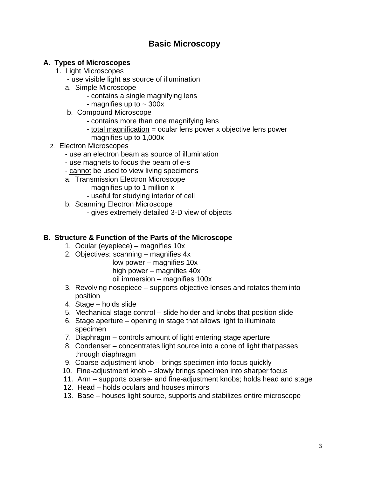### **Basic Microscopy**

#### **A. Types of Microscopes**

- 1. Light Microscopes
	- use visible light as source of illumination
	- a. Simple Microscope
		- contains a single magnifying lens
			- magnifies up to  $\sim$  300x
	- b. Compound Microscope
		- contains more than one magnifying lens
		- total magnification = ocular lens power x objective lens power
		- magnifies up to 1,000x
- 2. Electron Microscopes
	- use an electron beam as source of illumination
	- use magnets to focus the beam of e-s
	- cannot be used to view living specimens
	- a. Transmission Electron Microscope
		- magnifies up to 1 million x
		- useful for studying interior of cell
	- b. Scanning Electron Microscope
		- gives extremely detailed 3-D view of objects

#### **B. Structure & Function of the Parts of the Microscope**

- 1. Ocular (eyepiece) magnifies 10x
- 2. Objectives: scanning magnifies 4x
	- low power magnifies 10x high power – magnifies 40x
	- oil immersion magnifies 100x
- 3. Revolving nosepiece supports objective lenses and rotates them into position
- 4. Stage holds slide
- 5. Mechanical stage control slide holder and knobs that position slide
- 6. Stage aperture opening in stage that allows light to illuminate specimen
- 7. Diaphragm controls amount of light entering stage aperture
- 8. Condenser concentrates light source into a cone of light that passes through diaphragm
- 9. Coarse-adjustment knob brings specimen into focus quickly
- 10. Fine-adjustment knob slowly brings specimen into sharper focus
- 11. Arm supports coarse- and fine-adjustment knobs; holds head and stage
- 12. Head holds oculars and houses mirrors
- 13. Base houses light source, supports and stabilizes entire microscope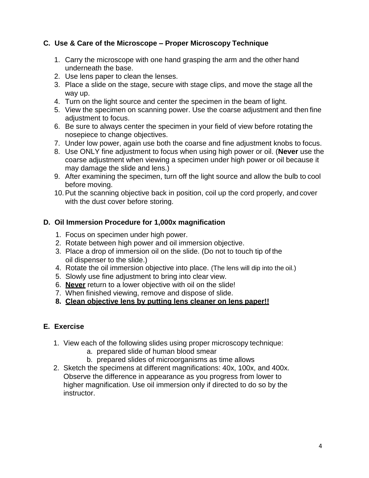#### **C. Use & Care of the Microscope – Proper Microscopy Technique**

- 1. Carry the microscope with one hand grasping the arm and the other hand underneath the base.
- 2. Use lens paper to clean the lenses.
- 3. Place a slide on the stage, secure with stage clips, and move the stage all the way up.
- 4. Turn on the light source and center the specimen in the beam of light.
- 5. View the specimen on scanning power. Use the coarse adjustment and then fine adjustment to focus.
- 6. Be sure to always center the specimen in your field of view before rotating the nosepiece to change objectives.
- 7. Under low power, again use both the coarse and fine adjustment knobs to focus.
- 8. Use ONLY fine adjustment to focus when using high power or oil. (**Never** use the coarse adjustment when viewing a specimen under high power or oil because it may damage the slide and lens.)
- 9. After examining the specimen, turn off the light source and allow the bulb to cool before moving.
- 10.Put the scanning objective back in position, coil up the cord properly, and cover with the dust cover before storing.

#### **D. Oil Immersion Procedure for 1,000x magnification**

- 1. Focus on specimen under high power.
- 2. Rotate between high power and oil immersion objective.
- 3. Place a drop of immersion oil on the slide. (Do not to touch tip of the oil dispenser to the slide.)
- 4. Rotate the oil immersion objective into place. (The lens will dip into the oil.)
- 5. Slowly use fine adjustment to bring into clear view.
- 6. **Never** return to a lower objective with oil on the slide!
- 7. When finished viewing, remove and dispose of slide.
- **8. Clean objective lens by putting lens cleaner on lens paper!!**

#### **E. Exercise**

- 1. View each of the following slides using proper microscopy technique:
	- a. prepared slide of human blood smear
	- b. prepared slides of microorganisms as time allows
- 2. Sketch the specimens at different magnifications: 40x, 100x, and 400x. Observe the difference in appearance as you progress from lower to higher magnification. Use oil immersion only if directed to do so by the instructor.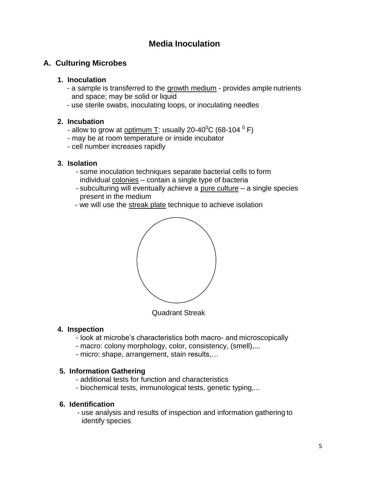### **Media Inoculation**

#### **A. Culturing Microbes**

#### **1. Inoculation**

- a sample is transferred to the growth medium provides ample nutrients and space; may be solid or liquid
- use sterile swabs, inoculating loops, or inoculating needles

#### **2. Incubation**

- allow to grow at <u>optimum T</u>: usually 20-40 $^0$ C (68-104  $^0$  F)
- may be at room temperature or inside incubator
- cell number increases rapidly

#### **3. Isolation**

- some inoculation techniques separate bacterial cells to form individual colonies – contain a single type of bacteria
- subculturing will eventually achieve a pure culture a single species present in the medium
- we will use the streak plate technique to achieve isolation



Quadrant Streak

#### **4. Inspection**

- look at microbe's characteristics both macro- and microscopically
- macro: colony morphology, color, consistency, (smell),...
- micro: shape, arrangement, stain results,…

#### **5. Information Gathering**

- additional tests for function and characteristics
- biochemical tests, immunological tests, genetic typing,...

#### **6. Identification**

- use analysis and results of inspection and information gathering to identify species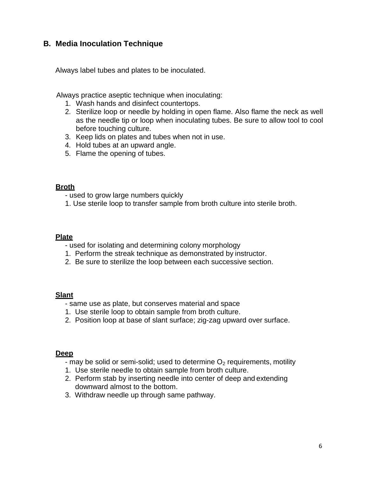#### **B. Media Inoculation Technique**

Always label tubes and plates to be inoculated.

Always practice aseptic technique when inoculating:

- 1. Wash hands and disinfect countertops.
- 2. Sterilize loop or needle by holding in open flame. Also flame the neck as well as the needle tip or loop when inoculating tubes. Be sure to allow tool to cool before touching culture.
- 3. Keep lids on plates and tubes when not in use.
- 4. Hold tubes at an upward angle.
- 5. Flame the opening of tubes.

#### **Broth**

- used to grow large numbers quickly
- 1. Use sterile loop to transfer sample from broth culture into sterile broth.

#### **Plate**

- used for isolating and determining colony morphology
- 1. Perform the streak technique as demonstrated by instructor.
- 2. Be sure to sterilize the loop between each successive section.

#### **Slant**

- same use as plate, but conserves material and space
- 1. Use sterile loop to obtain sample from broth culture.
- 2. Position loop at base of slant surface; zig-zag upward over surface.

#### **Deep**

- may be solid or semi-solid; used to determine  $O<sub>2</sub>$  requirements, motility
- 1. Use sterile needle to obtain sample from broth culture.
- 2. Perform stab by inserting needle into center of deep and extending downward almost to the bottom.
- 3. Withdraw needle up through same pathway.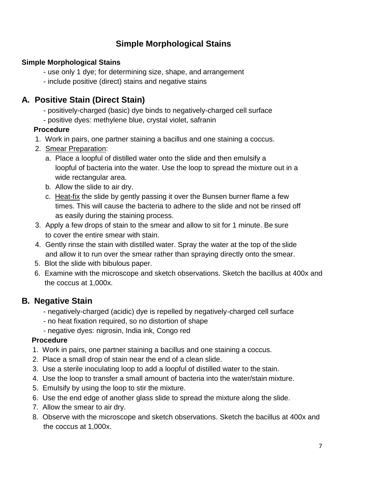### **Simple Morphological Stains**

### **Simple Morphological Stains**

- use only 1 dye; for determining size, shape, and arrangement
- include positive (direct) stains and negative stains

### **A. Positive Stain (Direct Stain)**

- positively-charged (basic) dye binds to negatively-charged cell surface
- positive dyes: methylene blue, crystal violet, safranin

#### **Procedure**

- 1. Work in pairs, one partner staining a bacillus and one staining a coccus.
- 2. Smear Preparation:
	- a. Place a loopful of distilled water onto the slide and then emulsify a loopful of bacteria into the water. Use the loop to spread the mixture out in a wide rectangular area.
	- b. Allow the slide to air dry.
	- c. Heat-fix the slide by gently passing it over the Bunsen burner flame a few times. This will cause the bacteria to adhere to the slide and not be rinsed off as easily during the staining process.
- 3. Apply a few drops of stain to the smear and allow to sit for 1 minute. Be sure to cover the entire smear with stain.
- 4. Gently rinse the stain with distilled water. Spray the water at the top of the slide and allow it to run over the smear rather than spraying directly onto the smear.
- 5. Blot the slide with bibulous paper.
- 6. Examine with the microscope and sketch observations. Sketch the bacillus at 400x and the coccus at 1,000x.

### **B. Negative Stain**

- negatively-charged (acidic) dye is repelled by negatively-charged cell surface
- no heat fixation required, so no distortion of shape
- negative dyes: nigrosin, India ink, Congo red

### **Procedure**

- 1. Work in pairs, one partner staining a bacillus and one staining a coccus.
- 2. Place a small drop of stain near the end of a clean slide.
- 3. Use a sterile inoculating loop to add a loopful of distilled water to the stain.
- 4. Use the loop to transfer a small amount of bacteria into the water/stain mixture.
- 5. Emulsify by using the loop to stir the mixture.
- 6. Use the end edge of another glass slide to spread the mixture along the slide.
- 7. Allow the smear to air dry.
- 8. Observe with the microscope and sketch observations. Sketch the bacillus at 400x and the coccus at 1,000x.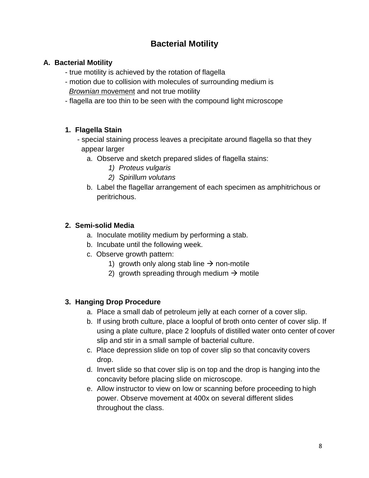### **Bacterial Motility**

#### **A. Bacterial Motility**

- true motility is achieved by the rotation of flagella
- motion due to collision with molecules of surrounding medium is *Brownian* movement and not true motility
- flagella are too thin to be seen with the compound light microscope

### **1. Flagella Stain**

- special staining process leaves a precipitate around flagella so that they appear larger
	- a. Observe and sketch prepared slides of flagella stains:
		- *1) Proteus vulgaris*
		- *2) Spirillum volutans*
	- b. Label the flagellar arrangement of each specimen as amphitrichous or peritrichous.

### **2. Semi-solid Media**

- a. Inoculate motility medium by performing a stab.
- b. Incubate until the following week.
- c. Observe growth pattern:
	- 1) growth only along stab line  $\rightarrow$  non-motile
	- 2) growth spreading through medium  $\rightarrow$  motile

### **3. Hanging Drop Procedure**

- a. Place a small dab of petroleum jelly at each corner of a cover slip.
- b. If using broth culture, place a loopful of broth onto center of cover slip. If using a plate culture, place 2 loopfuls of distilled water onto center of cover slip and stir in a small sample of bacterial culture.
- c. Place depression slide on top of cover slip so that concavity covers drop.
- d. Invert slide so that cover slip is on top and the drop is hanging into the concavity before placing slide on microscope.
- e. Allow instructor to view on low or scanning before proceeding to high power. Observe movement at 400x on several different slides throughout the class.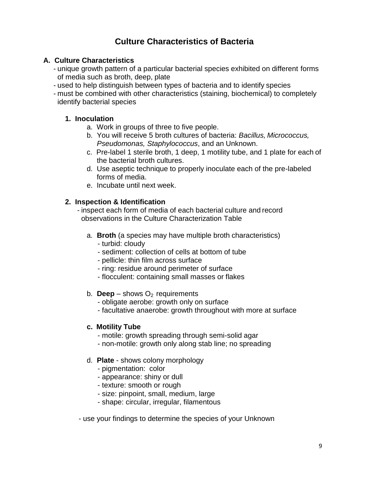### **Culture Characteristics of Bacteria**

#### **A. Culture Characteristics**

- unique growth pattern of a particular bacterial species exhibited on different forms of media such as broth, deep, plate
- used to help distinguish between types of bacteria and to identify species
- must be combined with other characteristics (staining, biochemical) to completely identify bacterial species

#### **1. Inoculation**

- a. Work in groups of three to five people.
- b. You will receive 5 broth cultures of bacteria: *Bacillus, Micrococcus, Pseudomonas, Staphylococcus*, and an Unknown.
- c. Pre-label 1 sterile broth, 1 deep, 1 motility tube, and 1 plate for each of the bacterial broth cultures.
- d. Use aseptic technique to properly inoculate each of the pre-labeled forms of media.
- e. Incubate until next week.

#### **2. Inspection & Identification**

- inspect each form of media of each bacterial culture and record observations in the Culture Characterization Table

- a. **Broth** (a species may have multiple broth characteristics) - turbid: cloudy
	- sediment: collection of cells at bottom of tube
	- pellicle: thin film across surface
	- ring: residue around perimeter of surface
	- flocculent: containing small masses or flakes

#### b. **Deep** – shows  $O_2$  requirements

- obligate aerobe: growth only on surface
- facultative anaerobe: growth throughout with more at surface

#### **c. Motility Tube**

- motile: growth spreading through semi-solid agar
- non-motile: growth only along stab line; no spreading
- d. **Plate**  shows colony morphology
	- pigmentation: color
	- appearance: shiny or dull
	- texture: smooth or rough
	- size: pinpoint, small, medium, large
	- shape: circular, irregular, filamentous
- use your findings to determine the species of your Unknown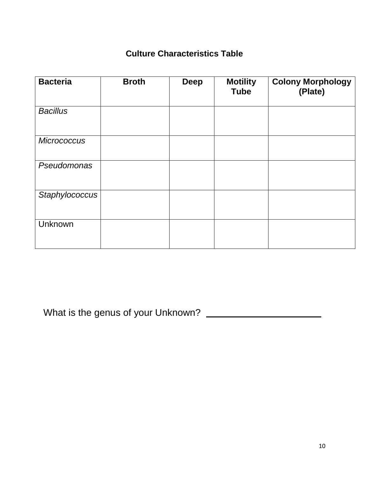### **Culture Characteristics Table**

| <b>Bacteria</b>    | <b>Broth</b> | <b>Deep</b> | <b>Motility</b><br><b>Tube</b> | <b>Colony Morphology</b><br>(Plate) |
|--------------------|--------------|-------------|--------------------------------|-------------------------------------|
| <b>Bacillus</b>    |              |             |                                |                                     |
| <b>Micrococcus</b> |              |             |                                |                                     |
| Pseudomonas        |              |             |                                |                                     |
| Staphylococcus     |              |             |                                |                                     |
| Unknown            |              |             |                                |                                     |

What is the genus of your Unknown?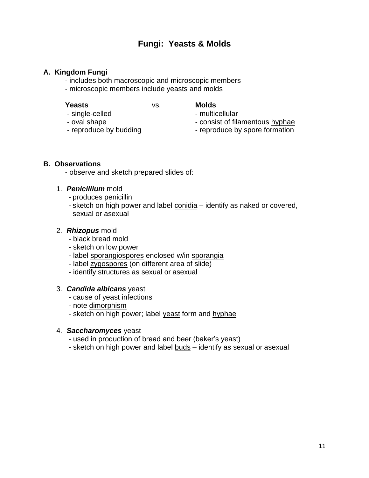### **Fungi: Yeasts & Molds**

#### **A. Kingdom Fungi**

- includes both macroscopic and microscopic members
- microscopic members include yeasts and molds

**Yeasts** vs. **Molds**

- single-celled multicellular
	-
	-
- oval shape  $\overline{\phantom{a}}$  consist of filamentous hyphae
- reproduce by budding  $\blacksquare$  reproduce by spore formation

#### **B. Observations**

- observe and sketch prepared slides of:

- 1. *Penicillium* mold
	- produces penicillin
	- sketch on high power and label conidia identify as naked or covered, sexual or asexual

#### 2. *Rhizopus* mold

- black bread mold
- sketch on low power
- label sporangiospores enclosed w/in sporangia
- label zygospores (on different area of slide)
- identify structures as sexual or asexual

#### 3. *Candida albicans* yeast

- cause of yeast infections
- note dimorphism
- sketch on high power; label yeast form and hyphae

#### 4. *Saccharomyces* yeast

- used in production of bread and beer (baker's yeast)
- sketch on high power and label buds identify as sexual or asexual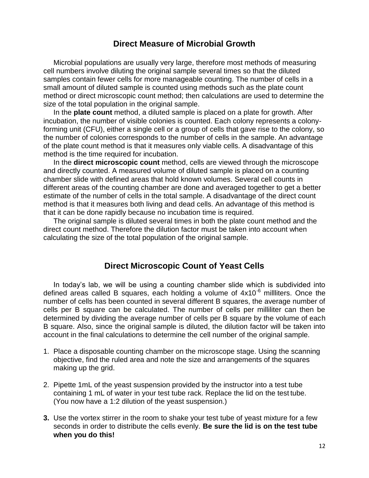#### **Direct Measure of Microbial Growth**

Microbial populations are usually very large, therefore most methods of measuring cell numbers involve diluting the original sample several times so that the diluted samples contain fewer cells for more manageable counting. The number of cells in a small amount of diluted sample is counted using methods such as the plate count method or direct microscopic count method; then calculations are used to determine the size of the total population in the original sample.

In the **plate count** method, a diluted sample is placed on a plate for growth. After incubation, the number of visible colonies is counted. Each colony represents a colonyforming unit (CFU), either a single cell or a group of cells that gave rise to the colony, so the number of colonies corresponds to the number of cells in the sample. An advantage of the plate count method is that it measures only viable cells. A disadvantage of this method is the time required for incubation.

In the **direct microscopic count** method, cells are viewed through the microscope and directly counted. A measured volume of diluted sample is placed on a counting chamber slide with defined areas that hold known volumes. Several cell counts in different areas of the counting chamber are done and averaged together to get a better estimate of the number of cells in the total sample. A disadvantage of the direct count method is that it measures both living and dead cells. An advantage of this method is that it can be done rapidly because no incubation time is required.

The original sample is diluted several times in both the plate count method and the direct count method. Therefore the dilution factor must be taken into account when calculating the size of the total population of the original sample.

#### **Direct Microscopic Count of Yeast Cells**

In today's lab, we will be using a counting chamber slide which is subdivided into defined areas called B squares, each holding a volume of  $4x10^{-6}$  millliters. Once the number of cells has been counted in several different B squares, the average number of cells per B square can be calculated. The number of cells per milliliter can then be determined by dividing the average number of cells per B square by the volume of each B square. Also, since the original sample is diluted, the dilution factor will be taken into account in the final calculations to determine the cell number of the original sample.

- 1. Place a disposable counting chamber on the microscope stage. Using the scanning objective, find the ruled area and note the size and arrangements of the squares making up the grid.
- 2. Pipette 1mL of the yeast suspension provided by the instructor into a test tube containing 1 mL of water in your test tube rack. Replace the lid on the test tube. (You now have a 1:2 dilution of the yeast suspension.)
- **3.** Use the vortex stirrer in the room to shake your test tube of yeast mixture for a few seconds in order to distribute the cells evenly. **Be sure the lid is on the test tube when you do this!**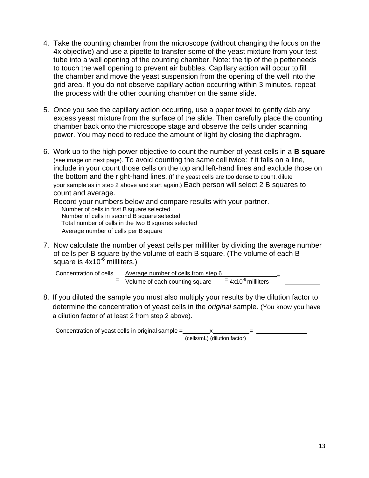- 4. Take the counting chamber from the microscope (without changing the focus on the 4x objective) and use a pipette to transfer some of the yeast mixture from your test tube into a well opening of the counting chamber. Note: the tip of the pipette needs to touch the well opening to prevent air bubbles. Capillary action will occur to fill the chamber and move the yeast suspension from the opening of the well into the grid area. If you do not observe capillary action occurring within 3 minutes, repeat the process with the other counting chamber on the same slide.
- 5. Once you see the capillary action occurring, use a paper towel to gently dab any excess yeast mixture from the surface of the slide. Then carefully place the counting chamber back onto the microscope stage and observe the cells under scanning power. You may need to reduce the amount of light by closing the diaphragm.
- 6. Work up to the high power objective to count the number of yeast cells in a **B square**  (see image on next page). To avoid counting the same cell twice: if it falls on a line, include in your count those cells on the top and left-hand lines and exclude those on the bottom and the right-hand lines. (If the yeast cells are too dense to count, dilute your sample as in step 2 above and start again.) Each person will select 2 B squares to count and average.

| Record your numbers below and compare results with your partner. |
|------------------------------------------------------------------|
| Number of cells in first B square selected                       |
| Number of cells in second B square selected                      |
| Total number of cells in the two B squares selected              |
| Average number of cells per B square                             |

7. Now calculate the number of yeast cells per milliliter by dividing the average number of cells per B square by the volume of each B square. (The volume of each B square is  $4x10^{-6}$  milliters.)

| Concentration of cells | Average number of cells from step 6 |                          |  |
|------------------------|-------------------------------------|--------------------------|--|
|                        | Volume of each counting square      | $= 4x10^{-6}$ millliters |  |

8. If you diluted the sample you must also multiply your results by the dilution factor to determine the concentration of yeast cells in the *original* sample. (You know you have a dilution factor of at least 2 from step 2 above).

| Concentration of yeast cells in original sample = |                              |  |
|---------------------------------------------------|------------------------------|--|
|                                                   | (cells/mL) (dilution factor) |  |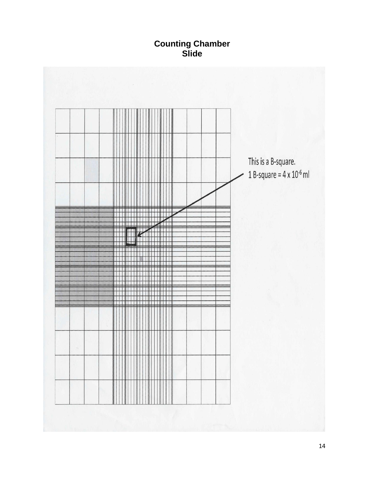### **Counting Chamber Slide**

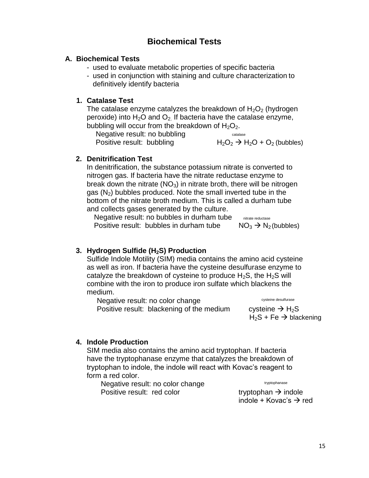### **Biochemical Tests**

#### **A. Biochemical Tests**

- used to evaluate metabolic properties of specific bacteria
- used in conjunction with staining and culture characterization to definitively identify bacteria

#### **1. Catalase Test**

The catalase enzyme catalyzes the breakdown of  $H_2O_2$  (hydrogen peroxide) into  $H_2O$  and  $O_2$ . If bacteria have the catalase enzyme, bubbling will occur from the breakdown of  $H_2O_2$ .

Negative result: no bubbling Positive result: bubbling  $H_2O_2 \rightarrow H_2O + O_2$  (bubbles)

catalase

#### **2. Denitrification Test**

In denitrification, the substance potassium nitrate is converted to nitrogen gas. If bacteria have the nitrate reductase enzyme to break down the nitrate  $(NO<sub>3</sub>)$  in nitrate broth, there will be nitrogen gas  $(N_2)$  bubbles produced. Note the small inverted tube in the bottom of the nitrate broth medium. This is called a durham tube and collects gases generated by the culture.

Negative result: no bubbles in durham tube Positive result: bubbles in durham tube  $NO_3 \rightarrow N_2$  (bubbles) nitrate reductase

#### **3. Hydrogen Sulfide (H2S) Production**

Sulfide Indole Motility (SIM) media contains the amino acid cysteine as well as iron. If bacteria have the cysteine desulfurase enzyme to catalyze the breakdown of cysteine to produce  $H_2S$ , the  $H_2S$  will combine with the iron to produce iron sulfate which blackens the medium.

Negative result: no color change Positive result: blackening of the medium cysteine  $\rightarrow$  H<sub>2</sub>S

cysteine desulfurase

 $H_2S$  + Fe  $\rightarrow$  blackening

#### **4. Indole Production**

SIM media also contains the amino acid tryptophan. If bacteria have the tryptophanase enzyme that catalyzes the breakdown of tryptophan to indole, the indole will react with Kovac's reagent to form a red color.

Negative result: no color change Positive result: red color tryptophan  $\rightarrow$  indole

tryptophanase

indole + Kovac's  $\rightarrow$  red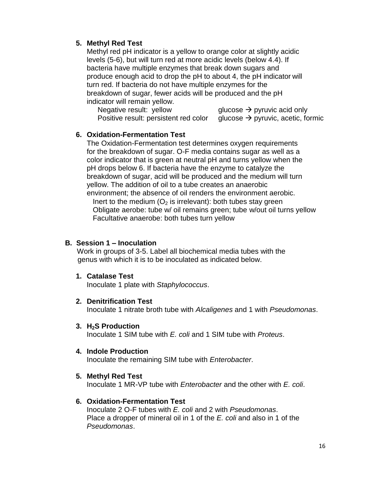#### **5. Methyl Red Test**

Methyl red pH indicator is a yellow to orange color at slightly acidic levels (5-6), but will turn red at more acidic levels (below 4.4). If bacteria have multiple enzymes that break down sugars and produce enough acid to drop the pH to about 4, the pH indicator will turn red. If bacteria do not have multiple enzymes for the breakdown of sugar, fewer acids will be produced and the pH indicator will remain yellow.

Negative result: yellow glucose  $\rightarrow$  pyruvic acid only Positive result: persistent red color glucose  $\rightarrow$  pyruvic, acetic, formic

#### **6. Oxidation-Fermentation Test**

The Oxidation-Fermentation test determines oxygen requirements for the breakdown of sugar. O-F media contains sugar as well as a color indicator that is green at neutral pH and turns yellow when the pH drops below 6. If bacteria have the enzyme to catalyze the breakdown of sugar, acid will be produced and the medium will turn yellow. The addition of oil to a tube creates an anaerobic environment; the absence of oil renders the environment aerobic. Inert to the medium  $(O_2)$  is irrelevant): both tubes stay green Obligate aerobe: tube w/ oil remains green; tube w/out oil turns yellow Facultative anaerobe: both tubes turn yellow

#### **B. Session 1 – Inoculation**

Work in groups of 3-5. Label all biochemical media tubes with the genus with which it is to be inoculated as indicated below.

#### **1. Catalase Test**

Inoculate 1 plate with *Staphylococcus*.

#### **2. Denitrification Test**

Inoculate 1 nitrate broth tube with *Alcaligenes* and 1 with *Pseudomonas*.

**3. H2S Production**

Inoculate 1 SIM tube with *E. coli* and 1 SIM tube with *Proteus*.

#### **4. Indole Production**

Inoculate the remaining SIM tube with *Enterobacter*.

#### **5. Methyl Red Test**

Inoculate 1 MR-VP tube with *Enterobacter* and the other with *E. coli*.

#### **6. Oxidation-Fermentation Test**

Inoculate 2 O-F tubes with *E. coli* and 2 with *Pseudomonas*. Place a dropper of mineral oil in 1 of the *E. coli* and also in 1 of the *Pseudomonas*.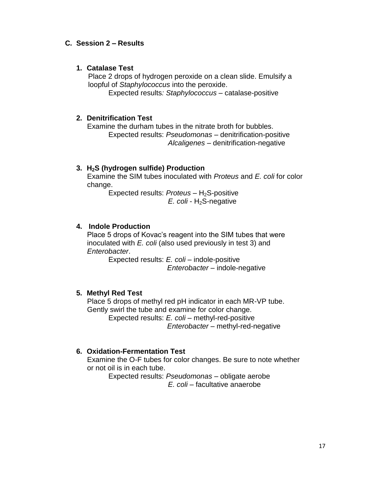#### **C. Session 2 – Results**

#### **1. Catalase Test**

Place 2 drops of hydrogen peroxide on a clean slide. Emulsify a loopful of *Staphylococcus* into the peroxide.

Expected results*: Staphylococcus* – catalase-positive

#### **2. Denitrification Test**

Examine the durham tubes in the nitrate broth for bubbles. Expected results: *Pseudomonas* – denitrification-positive *Alcaligenes* – denitrification-negative

#### **3. H2S (hydrogen sulfide) Production**

Examine the SIM tubes inoculated with *Proteus* and *E. coli* for color change.

> Expected results: *Proteus* - H<sub>2</sub>S-positive *E. coli - H*<sub>2</sub>S-negative

#### **4. Indole Production**

Place 5 drops of Kovac's reagent into the SIM tubes that were inoculated with *E. coli* (also used previously in test 3) and *Enterobacter*.

> Expected results: *E. coli* – indole-positive *Enterobacter* – indole-negative

#### **5. Methyl Red Test**

Place 5 drops of methyl red pH indicator in each MR-VP tube. Gently swirl the tube and examine for color change. Expected results: *E. coli* – methyl-red-positive

*Enterobacter* – methyl-red-negative

#### **6. Oxidation-Fermentation Test**

Examine the O-F tubes for color changes. Be sure to note whether or not oil is in each tube.

Expected results: *Pseudomonas* – obligate aerobe *E. coli* – facultative anaerobe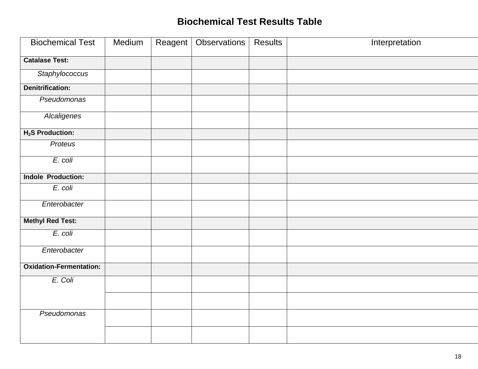## **Biochemical Test Results Table**

| <b>Biochemical Test</b>        | Medium | Reagent | Observations | <b>Results</b> | Interpretation |
|--------------------------------|--------|---------|--------------|----------------|----------------|
| <b>Catalase Test:</b>          |        |         |              |                |                |
| Staphylococcus                 |        |         |              |                |                |
| <b>Denitrification:</b>        |        |         |              |                |                |
| Pseudomonas                    |        |         |              |                |                |
| <b>Alcaligenes</b>             |        |         |              |                |                |
| H <sub>2</sub> S Production:   |        |         |              |                |                |
| Proteus                        |        |         |              |                |                |
| E. coli                        |        |         |              |                |                |
| <b>Indole Production:</b>      |        |         |              |                |                |
| E. coli                        |        |         |              |                |                |
| Enterobacter                   |        |         |              |                |                |
| <b>Methyl Red Test:</b>        |        |         |              |                |                |
| E. coli                        |        |         |              |                |                |
| Enterobacter                   |        |         |              |                |                |
| <b>Oxidation-Fermentation:</b> |        |         |              |                |                |
| E. Coli                        |        |         |              |                |                |
|                                |        |         |              |                |                |
| Pseudomonas                    |        |         |              |                |                |
|                                |        |         |              |                |                |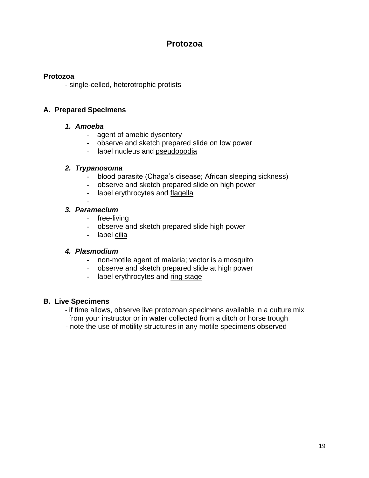### **Protozoa**

#### **Protozoa**

- single-celled, heterotrophic protists

#### **A. Prepared Specimens**

#### *1. Amoeba*

- agent of amebic dysentery
- observe and sketch prepared slide on low power
- label nucleus and pseudopodia

#### *2. Trypanosoma*

- blood parasite (Chaga's disease; African sleeping sickness)
- observe and sketch prepared slide on high power
- label erythrocytes and flagella

#### - *3. Paramecium*

- free-living
- observe and sketch prepared slide high power
- label cilia

#### *4. Plasmodium*

- non-motile agent of malaria; vector is a mosquito
- observe and sketch prepared slide at high power
- label erythrocytes and ring stage

#### **B. Live Specimens**

- if time allows, observe live protozoan specimens available in a culture mix from your instructor or in water collected from a ditch or horse trough
- note the use of motility structures in any motile specimens observed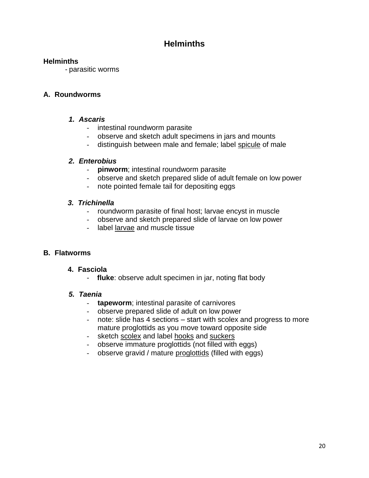### **Helminths**

#### **Helminths**

- parasitic worms

#### **A. Roundworms**

#### *1. Ascaris*

- intestinal roundworm parasite
- observe and sketch adult specimens in jars and mounts
- distinguish between male and female; label spicule of male

#### *2. Enterobius*

- **pinworm**; intestinal roundworm parasite
- observe and sketch prepared slide of adult female on low power
- note pointed female tail for depositing eggs

#### *3. Trichinella*

- roundworm parasite of final host; larvae encyst in muscle
- observe and sketch prepared slide of larvae on low power
- label larvae and muscle tissue

#### **B. Flatworms**

#### **4. Fasciola**

- **fluke**: observe adult specimen in jar, noting flat body

#### *5. Taenia*

- **tapeworm**; intestinal parasite of carnivores
- observe prepared slide of adult on low power
- note: slide has 4 sections start with scolex and progress to more mature proglottids as you move toward opposite side
- sketch scolex and label hooks and suckers
- observe immature proglottids (not filled with eggs)
- observe gravid / mature proglottids (filled with eggs)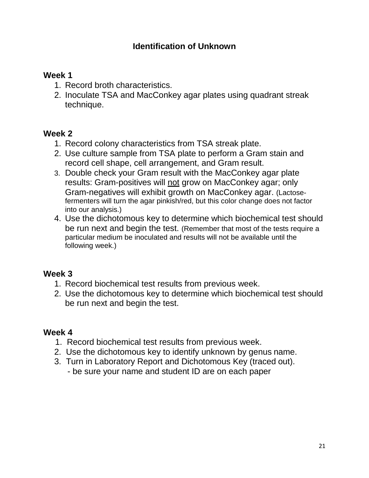### **Identification of Unknown**

### **Week 1**

- 1. Record broth characteristics.
- 2. Inoculate TSA and MacConkey agar plates using quadrant streak technique.

### **Week 2**

- 1. Record colony characteristics from TSA streak plate.
- 2. Use culture sample from TSA plate to perform a Gram stain and record cell shape, cell arrangement, and Gram result.
- 3. Double check your Gram result with the MacConkey agar plate results: Gram-positives will not grow on MacConkey agar; only Gram-negatives will exhibit growth on MacConkey agar. (Lactosefermenters will turn the agar pinkish/red, but this color change does not factor into our analysis.)
- 4. Use the dichotomous key to determine which biochemical test should be run next and begin the test. (Remember that most of the tests require a particular medium be inoculated and results will not be available until the following week.)

### **Week 3**

- 1. Record biochemical test results from previous week.
- 2. Use the dichotomous key to determine which biochemical test should be run next and begin the test.

### **Week 4**

- 1. Record biochemical test results from previous week.
- 2. Use the dichotomous key to identify unknown by genus name.
- 3. Turn in Laboratory Report and Dichotomous Key (traced out).
	- be sure your name and student ID are on each paper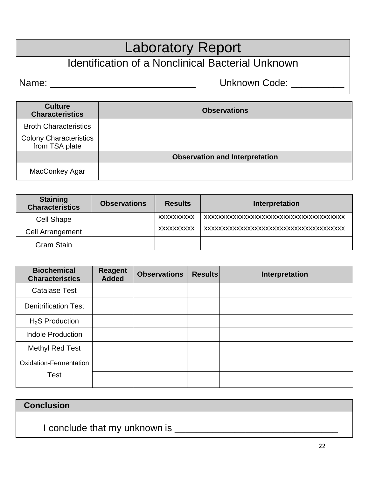# Laboratory Report

# Identification of a Nonclinical Bacterial Unknown

Name: \_\_\_\_\_\_\_\_\_\_ Unknown Code: \_\_\_\_\_\_\_\_\_\_

| <b>Culture</b><br><b>Characteristics</b>        | <b>Observations</b>                   |
|-------------------------------------------------|---------------------------------------|
| <b>Broth Characteristics</b>                    |                                       |
| <b>Colony Characteristics</b><br>from TSA plate |                                       |
|                                                 | <b>Observation and Interpretation</b> |
| MacConkey Agar                                  |                                       |

| <b>Staining</b><br><b>Characteristics</b> | <b>Observations</b> | <b>Results</b>    | Interpretation |
|-------------------------------------------|---------------------|-------------------|----------------|
| <b>Cell Shape</b>                         |                     | <b>XXXXXXXXXX</b> |                |
| Cell Arrangement                          |                     | <b>XXXXXXXXXX</b> |                |
| <b>Gram Stain</b>                         |                     |                   |                |

| <b>Biochemical</b><br><b>Characteristics</b> | <b>Reagent</b><br><b>Added</b> | <b>Observations</b> | <b>Results</b> | Interpretation |
|----------------------------------------------|--------------------------------|---------------------|----------------|----------------|
| <b>Catalase Test</b>                         |                                |                     |                |                |
| <b>Denitrification Test</b>                  |                                |                     |                |                |
| $H2S$ Production                             |                                |                     |                |                |
| <b>Indole Production</b>                     |                                |                     |                |                |
| Methyl Red Test                              |                                |                     |                |                |
| Oxidation-Fermentation                       |                                |                     |                |                |
| Test                                         |                                |                     |                |                |

### **Conclusion**

I conclude that my unknown is \_\_\_\_\_\_\_\_\_\_\_\_\_\_\_\_\_\_\_\_\_\_\_\_\_\_\_\_\_\_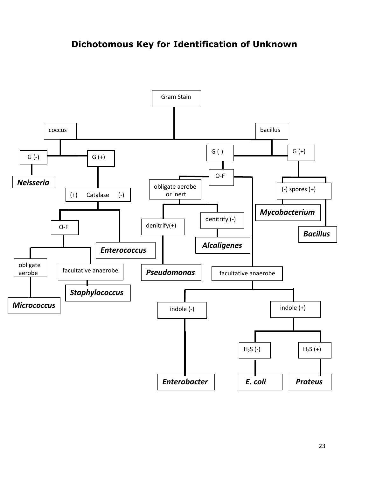### **Dichotomous Key for Identification of Unknown**

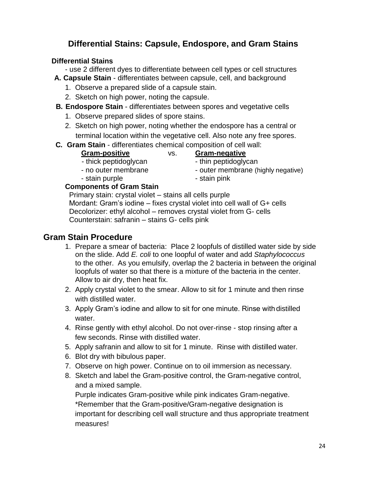### **Differential Stains: Capsule, Endospore, and Gram Stains**

### **Differential Stains**

- use 2 different dyes to differentiate between cell types or cell structures

- **A. Capsule Stain**  differentiates between capsule, cell, and background
	- 1. Observe a prepared slide of a capsule stain.
	- 2. Sketch on high power, noting the capsule.
- **B. Endospore Stain**  differentiates between spores and vegetative cells
	- 1. Observe prepared slides of spore stains.
	- 2. Sketch on high power, noting whether the endospore has a central or terminal location within the vegetative cell. Also note any free spores.
- **C. Gram Stain**  differentiates chemical composition of cell wall:
	- **Gram-positive** vs. **Gram-negative**
		-
	-
	- stain purple  $\overline{\phantom{a}}$  stain pink

### **Components of Gram Stain**

Primary stain: crystal violet – stains all cells purple Mordant: Gram's iodine – fixes crystal violet into cell wall of G+ cells Decolorizer: ethyl alcohol – removes crystal violet from G- cells Counterstain: safranin – stains G- cells pink

### **Gram Stain Procedure**

- 1. Prepare a smear of bacteria: Place 2 loopfuls of distilled water side by side on the slide. Add *E. coli* to one loopful of water and add *Staphylococcus* to the other. As you emulsify, overlap the 2 bacteria in between the original loopfuls of water so that there is a mixture of the bacteria in the center. Allow to air dry, then heat fix.
- 2. Apply crystal violet to the smear. Allow to sit for 1 minute and then rinse with distilled water.
- 3. Apply Gram's iodine and allow to sit for one minute. Rinse with distilled water.
- 4. Rinse gently with ethyl alcohol. Do not over-rinse stop rinsing after a few seconds. Rinse with distilled water.
- 5. Apply safranin and allow to sit for 1 minute. Rinse with distilled water.
- 6. Blot dry with bibulous paper.
- 7. Observe on high power. Continue on to oil immersion as necessary.
- 8. Sketch and label the Gram-positive control, the Gram-negative control, and a mixed sample.

Purple indicates Gram-positive while pink indicates Gram-negative. \*Remember that the Gram-positive/Gram-negative designation is important for describing cell wall structure and thus appropriate treatment measures!

- 
- thick peptidoglycan thin peptidoglycan
- no outer membrane  $\blacksquare$  outer membrane (highly negative)
	-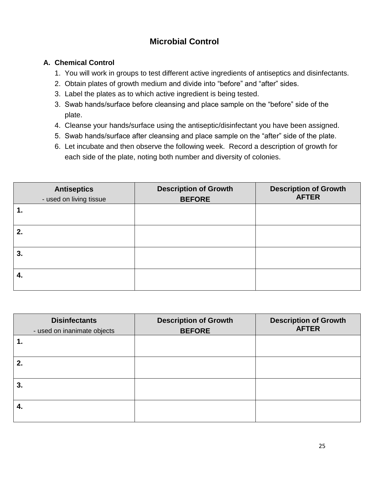### **Microbial Control**

#### **A. Chemical Control**

- 1. You will work in groups to test different active ingredients of antiseptics and disinfectants.
- 2. Obtain plates of growth medium and divide into "before" and "after" sides.
- 3. Label the plates as to which active ingredient is being tested.
- 3. Swab hands/surface before cleansing and place sample on the "before" side of the plate.
- 4. Cleanse your hands/surface using the antiseptic/disinfectant you have been assigned.
- 5. Swab hands/surface after cleansing and place sample on the "after" side of the plate.
- 6. Let incubate and then observe the following week. Record a description of growth for each side of the plate, noting both number and diversity of colonies.

| <b>Antiseptics</b><br>- used on living tissue | <b>Description of Growth</b><br><b>BEFORE</b> | <b>Description of Growth</b><br><b>AFTER</b> |
|-----------------------------------------------|-----------------------------------------------|----------------------------------------------|
| 1.                                            |                                               |                                              |
| 2.                                            |                                               |                                              |
| 3.                                            |                                               |                                              |
| 4.                                            |                                               |                                              |

| <b>Disinfectants</b><br>- used on inanimate objects | <b>Description of Growth</b><br><b>BEFORE</b> | <b>Description of Growth</b><br><b>AFTER</b> |
|-----------------------------------------------------|-----------------------------------------------|----------------------------------------------|
| 1.                                                  |                                               |                                              |
| 2.                                                  |                                               |                                              |
| 3.                                                  |                                               |                                              |
| 4.                                                  |                                               |                                              |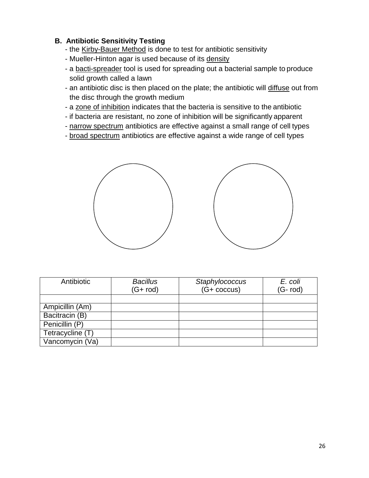#### **B. Antibiotic Sensitivity Testing**

- the Kirby-Bauer Method is done to test for antibiotic sensitivity
- Mueller-Hinton agar is used because of its density
- a bacti-spreader tool is used for spreading out a bacterial sample to produce solid growth called a lawn
- an antibiotic disc is then placed on the plate; the antibiotic will diffuse out from the disc through the growth medium
- a zone of inhibition indicates that the bacteria is sensitive to the antibiotic
- if bacteria are resistant, no zone of inhibition will be significantly apparent
- narrow spectrum antibiotics are effective against a small range of cell types
- broad spectrum antibiotics are effective against a wide range of cell types



| Antibiotic       | <b>Bacillus</b> | Staphylococcus        | E. coli  |
|------------------|-----------------|-----------------------|----------|
|                  | $(G + rod)$     | $(G + \text{coccus})$ | (G- rod) |
|                  |                 |                       |          |
| Ampicillin (Am)  |                 |                       |          |
| Bacitracin (B)   |                 |                       |          |
| Penicillin (P)   |                 |                       |          |
| Tetracycline (T) |                 |                       |          |
| Vancomycin (Va)  |                 |                       |          |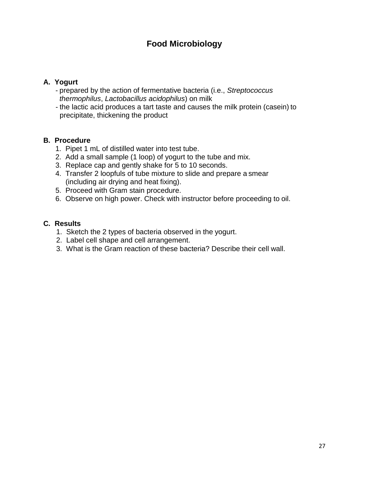### **Food Microbiology**

#### **A. Yogurt**

- prepared by the action of fermentative bacteria (i.e., *Streptococcus thermophilus*, *Lactobacillus acidophilus*) on milk
- the lactic acid produces a tart taste and causes the milk protein (casein) to precipitate, thickening the product

#### **B. Procedure**

- 1. Pipet 1 mL of distilled water into test tube.
- 2. Add a small sample (1 loop) of yogurt to the tube and mix.
- 3. Replace cap and gently shake for 5 to 10 seconds.
- 4. Transfer 2 loopfuls of tube mixture to slide and prepare a smear (including air drying and heat fixing).
- 5. Proceed with Gram stain procedure.
- 6. Observe on high power. Check with instructor before proceeding to oil.

#### **C. Results**

- 1. Sketch the 2 types of bacteria observed in the yogurt.
- 2. Label cell shape and cell arrangement.
- 3. What is the Gram reaction of these bacteria? Describe their cell wall.